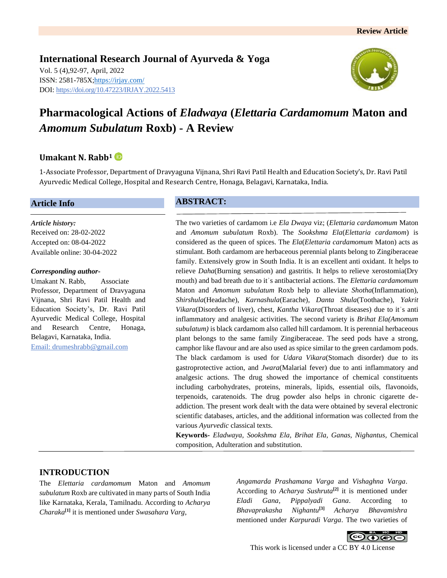**International Research Journal of Ayurveda & Yoga** Vol. 5 (4),92-97, April, 2022 ISSN: 2581-785X[; https://irjay.com/](https://irjay.com/) DOI: https://doi.org/10.47223/IRJAY.2022.5413



# **Pharmacological Actions of** *Eladwaya* **(***Elettaria Cardamomum* **Maton and**  *Amomum Subulatum* **Roxb) - A Review**

# **Umakant N. Rabb<sup>1</sup>**

1-Associate Professor, Department of Dravyaguna Vijnana, Shri Ravi Patil Health and Education Society's, Dr. Ravi Patil Ayurvedic Medical College, Hospital and Research Centre, Honaga, Belagavi, Karnataka, India.

#### **Article Info**

*Article history:* Received on: 28-02-2022 Accepted on: 08-04-2022 Available online: 30-04-2022

#### *Corresponding author-*

Umakant N. Rabb, Associate Professor, Department of Dravyaguna Vijnana, Shri Ravi Patil Health and Education Society's, Dr. Ravi Patil Ayurvedic Medical College, Hospital and Research Centre, Honaga, Belagavi, Karnataka, India. Email: drumeshrabb@gmail.com

#### **ABSTRACT:**

The two varieties of cardamom i.e *Ela Dwaya* viz; (*Elettaria cardamomum* Maton and *Amomum subulatum* Roxb). The *Sookshma Ela*(*Elettaria cardamom*) is considered as the queen of spices. The *Ela*(*Elettaria cardamomum* Maton) acts as stimulant. Both cardamom are herbaceous perennial plants belong to Zingiberaceae family. Extensively grow in South India. It is an excellent anti oxidant. It helps to relieve *Daha*(Burning sensation) and gastritis. It helps to relieve xerostomia(Dry mouth) and bad breath due to itʾs antibacterial actions. The *Elettaria cardamomum*  Maton and *Amomum subulatum* Roxb help to alleviate *Shotha*(Inflammation), *Shirshula*(Headache), *Karnashula*(Earache), *Danta Shula*(Toothache), *Yakrit Vikara*(Disorders of liver), chest, *Kantha Vikara*(Throat diseases) due to itʾs anti inflammatory and analgesic activities. The second variety is *Brihat Ela(Amomum subulatum)* is black cardamom also called hill cardamom. It is perennial herbaceous plant belongs to the same family Zingiberaceae. The seed pods have a strong, camphor like flavour and are also used as spice similar to the green cardamom pods. The black cardamom is used for *Udara Vikara*(Stomach disorder) due to its gastroprotective action, and *Jwara*(Malarial fever) due to anti inflammatory and analgesic actions. The drug showed the importance of chemical constituents including carbohydrates, proteins, minerals, lipids, essential oils, flavonoids, terpenoids, caratenoids. The drug powder also helps in chronic cigarette deaddiction. The present work dealt with the data were obtained by several electronic scientific databases, articles, and the additional information was collected from the various *Ayurvedic* classical texts.

**Keywords-** *Eladwaya, Sookshma Ela, Brihat Ela, Ganas, Nighantus,* Chemical composition, Adulteration and substitution.

#### **INTRODUCTION**

The *Elettaria cardamomum* Maton and *Amomum subulatum* Roxb are cultivated in many parts of South India like Karnataka, Kerala, Tamilnadu. According to *Acharya Charaka***[1]** it is mentioned under *Swasahara Varg*,

*Angamarda Prashamana Varga* and *Vishaghna Varga*. According to *Acharya Sushruta***[2]** it is mentioned under *Eladi Gana*, *Pippalyadi Gana*. According to *Bhavaprakasha Nighantu***[3]** *Acharya Bhavamishra*  mentioned under *Karpuradi Varga*. The two varieties of

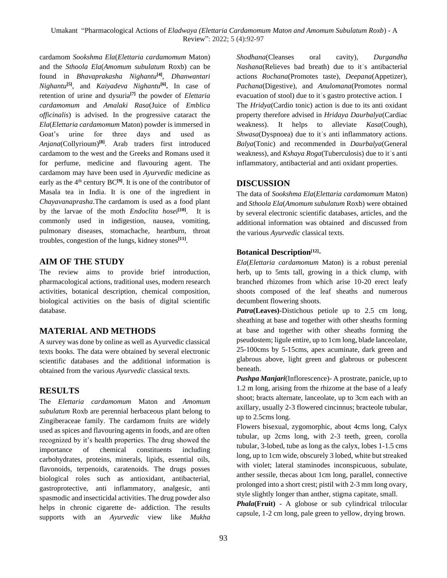cardamom *Sookshma Ela*(*Elettaria cardamomum* Maton) and the *Sthoola Ela*(*Amomum subulatum* Roxb) can be found in *Bhavaprakasha Nighantu***[4]** , *Dhanwantari Nighantu***[5]**, and *Kaiyadeva Nighantu***[6] .** In case of retention of urine and dysuria**[7]** the powder of *Elettaria cardamomum* and *Amalaki Rasa*(Juice of *Emblica officinalis*) is advised. In the progressive cataract the *Ela*(*Elettaria cardamomum* Maton) powder is immersed in Goat's urine for three days and used as *Anjana*(Collyrioum)**[8]**. Arab traders first introduced cardamom to the west and the Greeks and Romans used it for perfume, medicine and flavouring agent. The cardamom may have been used in *Ayurvedic* medicine as early as the  $4<sup>th</sup>$  century  $BC<sup>[9]</sup>$ . It is one of the contributor of Masala tea in India. It is one of the ingredient in *Chayavanaprasha*.The cardamom is used as a food plant by the larvae of the moth *Endoclita hosei***[10]**. It is commonly used in indigestion, nausea, vomiting, pulmonary diseases, stomachache, heartburn, throat troubles, congestion of the lungs, kidney stones**[11]** .

# **AIM OF THE STUDY**

The review aims to provide brief introduction, pharmacological actions, traditional uses, modern research activities, botanical description, chemical composition, biological activities on the basis of digital scientific database.

# **MATERIAL AND METHODS**

A survey was done by online as well as Ayurvedic classical texts books. The data were obtained by several electronic scientific databases and the additional information is obtained from the various *Ayurvedic* classical texts.

# **RESULTS**

The *Elettaria cardamomum* Maton and *Amomum subulatum* Roxb are perennial herbaceous plant belong to Zingiberaceae family. The cardamom fruits are widely used as spices and flavouring agents in foods, and are often recognized by it's health properties. The drug showed the importance of chemical constituents including carbohydrates, proteins, minerals, lipids, essential oils, flavonoids, terpenoids, caratenoids. The drugs posses biological roles such as antioxidant, antibacterial, gastroprotective, anti inflammatory, analgesic, anti spasmodic and insecticidal activities. The drug powder also helps in chronic cigarette de- addiction. The results supports with an *Ayurvedic* view like *Mukha*  *Shodhana*(Cleanses oral cavity)*, Durgandha Nashana*(Relieves bad breath) due to itʾs antibacterial actions *Rochana*(Promotes taste)*, Deepana*(Appetizer)*, Pachana*(Digestive)*,* and *Anulomana*(Promotes normal evacuation of stool) due to itʾs gastro protective action. I The *Hridya*(Cardio tonic) action is due to its anti oxidant property therefore advised in *Hridaya Daurbalya*(Cardiac weakness). It helps to alleviate *Kasa*(Cough), *Shwasa*(Dyspnoea) due to itʾs anti inflammatory actions. *Balya*(Tonic) and recommended in *Daurbalya*(General weakness), and *Kshaya Roga*(Tuberculosis) due to itʾs anti inflammatory, antibacterial and anti oxidant properties.

# **DISCUSSION**

The data of *Sookshma Ela*(*Elettaria cardamomum* Maton) and *Sthoola Ela*(*Amomum subulatum* Roxb) were obtained by several electronic scientific databases, articles, and the additional information was obtained and discussed from the various *Ayurvedic* classical texts.

# **Botanical Description[12]** -

*Ela*(*Elettaria cardamomum* Maton) is a robust perenial herb, up to 5mts tall, growing in a thick clump, with branched rhizomes from which arise 10-20 erect leafy shoots composed of the leaf sheaths and numerous decumbent flowering shoots.

*Patra***(Leaves)-**Distichous petiole up to 2.5 cm long, sheathing at base and together with other sheaths forming at base and together with other sheaths forming the pseudostem; ligule entire, up to 1cm long, blade lanceolate, 25-100cms by 5-15cms, apex acuminate, dark green and glabrous above, light green and glabrous or pubescent beneath.

*Pushpa Manjari*(Inflorescence)- A prostrate, panicle, up to 1.2 m long, arising from the rhizome at the base of a leafy shoot; bracts alternate, lanceolate, up to 3cm each with an axillary, usually 2-3 flowered cincinnus; bracteole tubular, up to 2.5cms long.

Flowers bisexual, zygomorphic, about 4cms long, Calyx tubular, up 2cms long, with 2-3 teeth, green, corolla tubular, 3-lobed, tube as long as the calyx, lobes 1-1.5 cms long, up to 1cm wide, obscurely 3 lobed, white but streaked with violet; lateral staminodes inconspicuous, subulate, anther sessile, thecas about 1cm long, parallel, connective prolonged into a short crest; pistil with 2-3 mm long ovary, style slightly longer than anther, stigma capitate, small.

*Phala***(Fruit)** - A globose or sub cylindrical trilocular capsule, 1-2 cm long, pale green to yellow, drying brown.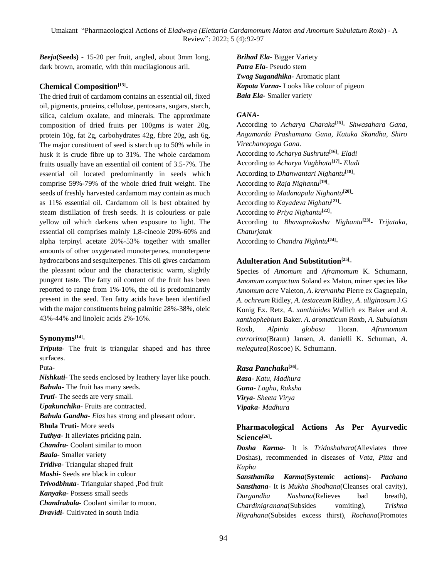*Beeja***(Seeds)** - 15-20 per fruit, angled, about 3mm long, dark brown, aromatic, with thin mucilagionous aril.

#### **Chemical Composition[13]** -

The dried fruit of cardamom contains an essential oil, fixed oil, pigments, proteins, cellulose, pentosans, sugars, starch, silica, calcium oxalate, and minerals. The approximate composition of dried fruits per 100gms is water 20g, protein 10g, fat 2g, carbohydrates 42g, fibre 20g, ash 6g, The major constituent of seed is starch up to 50% while in husk it is crude fibre up to 31%. The whole cardamom fruits usually have an essential oil content of 3.5-7%. The essential oil located predominantly in seeds which comprise 59%-79% of the whole dried fruit weight. The seeds of freshly harvested cardamom may contain as much as 11% essential oil. Cardamom oil is best obtained by steam distillation of fresh seeds. It is colourless or pale yellow oil which darkens when exposure to light. The essential oil comprises mainly 1,8-cineole 20%-60% and alpha terpinyl acetate 20%-53% together with smaller amounts of other oxygenated monoterpenes, monoterpene hydrocarbons and sesquiterpenes. This oil gives cardamom the pleasant odour and the characteristic warm, slightly pungent taste. The fatty oil content of the fruit has been reported to range from 1%-10%, the oil is predominantly present in the seed. Ten fatty acids have been identified with the major constituents being palmitic 28%-38%, oleic 43%-44% and linoleic acids 2%-16%.

#### **Synonyms[14]** -

*Triputa*- The fruit is triangular shaped and has three surfaces.

Puta-

*Nishkuti*- The seeds enclosed by leathery layer like pouch. *Bahula*- The fruit has many seeds. *Truti*- The seeds are very small. *Upakunchika*- Fruits are contracted. *Bahula Gandha*- *Elas* has strong and pleasant odour. **Bhula Truti**- More seeds *Tuthya*- It alleviates pricking pain. *Chandra*- Coolant similar to moon *Baala*- Smaller variety *Tridiva*- Triangular shaped fruit *Mashi*- Seeds are black in colour *Trivodbhuta*- Triangular shaped ,Pod fruit *Kanyaka***-** Possess small seeds *Chandrabala*- Coolant similar to moon. *Dravidi*- Cultivated in south India

*Brihad Ela***-** Bigger Variety *Patra Ela***-** Pseudo stem *Twag Sugandhika-* Aromatic plant *Kapota Varna*- Looks like colour of pigeon *Bala Ela***-** Smaller variety

#### *GANA***-**

According to *Acharya Charaka***[15]** *- Shwasahara Gana, Angamarda Prashamana Gana, Katuka Skandha, Shiro Virechanopaga Gana.* According to *Acharya Sushruta***[16]** *- Eladi* According to *Acharya Vagbhata***[17]** *- Eladi*  According to *Dhanwantari Nighantu***[18]** *-* According to *Raja Nighantu***[19]** *-* According to *Madanapala Nighantu***[20]** *-* According to *Kayadeva Nighatu***[21]** *-* According to *Priya Nighantu***[22]** *-* According to *Bhavaprakasha Nighantu***[23]** *- Trijataka, Chaturjatak* According to *Chandra Nighntu***[24]** *-*

#### **Adulteration And Substitution[25] -**

Species of *Amomum* and *Aframomum* K. Schumann, *Amomum compactum* Soland ex Maton, miner species like *Amomum acre* Valeton, *A*. *krervanha* Pierre ex Gagnepain, *A*. *ochreum* Ridley, *A*. *testaceum* Ridley, *A*. *uliginosum* J.G Konig Ex. Retz, *A*. *xanthioides* Wallich ex Baker and *A*. *xanthophebium* Baker. *A*. *aromaticum* Roxb, *A*. *Subulatum*  Roxb, *Alpinia globosa* Horan. *Aframomum corrorima*(Braun) Jansen, *A*. danielli K. Schuman, *A*. *melegutea*(Roscoe) K. Schumann.

#### *Rasa Panchaka***[26]** *-*

*Rasa- Katu, Madhura Guna- Laghu, Ruksha Virya- Sheeta Virya Vipaka- Madhura*

# **Pharmacological Actions As Per Ayurvedic Science[26] -**

*Dosha Karma*- It is *Tridoshahara*(Alleviates three Doshas), recommended in diseases of *Vata, Pitta* and *Kapha*

*Sansthanika Karma*(**Systemic actions**)- *Pachana Sansthana*- It is *Mukha Shodhana*(Cleanses oral cavity)*, Durgandha Nashana*(Relieves bad breath)*, Chardinigranana*(Subsides vomiting)*, Trishna Nigrahana*(Subsides excess thirst), *Rochana*(Promotes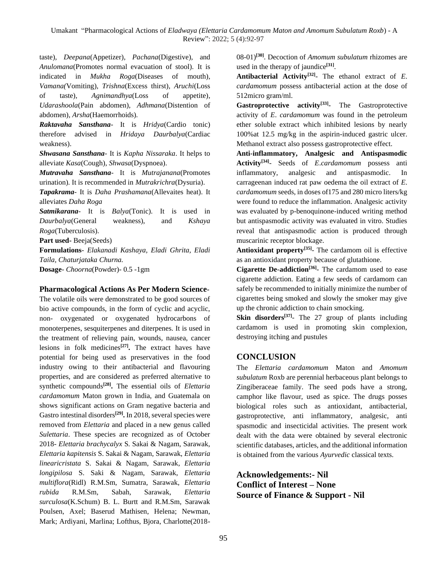taste)*, Deepana*(Appetizer)*, Pachana*(Digestive)*,* and *Anulomana*(Promotes normal evacuation of stool)*.* It is indicated in *Mukha Roga*(Diseases of mouth)*, Vamana(*Vomiting)*, Trishna*(Excess thirst)*, Aruchi*(Loss of taste)*, Agnimandhya*(Loss of appetite)*, Udarashoola*(Pain abdomen)*, Adhmana*(Distention of abdomen)*, Arsha*(Haemorrhoids)*.*

*Raktavaha Sansthana*- It is *Hridya*(Cardio tonic) therefore advised in *Hridaya Daurbalya*(Cardiac weakness).

*Shwasana Sansthana*- It is *Kapha Nissaraka*. It helps to alleviate *Kasa*(Cough), *Shwasa*(Dyspnoea).

*Mutravaha Sansthana*- It is *Mutrajanana*(Promotes urination). It is recommended in *Mutrakrichra*(Dysuria).

*Tapakrama*- It is *Daha Prashamana*(Allevaites heat). It alleviates *Daha Roga*

*Satmikarana*- It is *Balya*(Tonic). It is used in *Daurbalya*(General weakness), and *Kshaya Roga*(Tuberculosis).

**Part used-** Beeja(Seeds)

**Formulations**- *Elakanadi Kashaya, Eladi Ghrita, Eladi Taila, Chaturjataka Churna.*

**Dosage**- *Choorna*(Powder)- 0.5 -1gm

#### **Pharmacological Actions As Per Modern Science-**

The volatile oils were demonstrated to be good sources of bio active compounds, in the form of cyclic and acyclic, non- oxygenated or oxygenated hydrocarbons of monoterpenes, sesquiterpenes and diterpenes. It is used in the treatment of relieving pain, wounds, nausea, cancer lesions in folk medicines**[27] .** The extract haves have potential for being used as preservatives in the food industry owing to their antibacterial and flavouring properties, and are considered as preferred alternative to synthetic compounds**[28] .** The essential oils of *Elettaria cardamomum* Maton grown in India, and Guatemala on shows significant actions on Gram negative bacteria and Gastro intestinal disorders**[29] .** In 2018, several species were removed from *Elettaria* and placed in a new genus called *Sulettaria*. These species are recognized as of October 2018- *Elettaria brachycalyx* S. Sakai & Nagam, Sarawak, *Elettaria kapitensis* S. Sakai & Nagam, Sarawak, *Elettaria linearicristata* S. Sakai & Nagam, Sarawak, *Elettaria longipilosa* S. Saki & Nagam, Sarawak, *Elettaria multiflora*(Ridl) R.M.Sm, Sumatra, Sarawak, *Elettaria rubida* R.M.Sm, Sabah, Sarawak, *Elettaria surculosa*(K.Schum) B. L. Burtt and R.M.Sm, Sarawak Poulsen, Axel; Baserud Mathisen, Helena; Newman, Mark; Ardiyani, Marlina; Lofthus, Bjora, Charlotte(201808-01)**[30]**. Decoction of *Amomum subulatum* rhizomes are used in the therapy of jaundice**[31]** .

**Antibacterial Activity[32]** - The ethanol extract of *E*. *cardamomum* possess antibacterial action at the dose of 512micro gram/ml.

**Gastroprotective activity[33]** - The Gastroprotective activity of *E*. *cardamomum* was found in the petroleum ether soluble extract which inhibited lesions by nearly 100%at 12.5 mg/kg in the aspirin-induced gastric ulcer. Methanol extract also possess gastroprotective effect.

**Anti-inflammatory, Analgesic and Antispasmodic Activity[34]** - Seeds of *E*.*cardamomum* possess anti inflammatory, analgesic and antispasmodic. In carrageenan induced rat paw oedema the oil extract of *E*. *cardamomum* seeds, in doses of175 and 280 micro liters/kg were found to reduce the inflammation. Analgesic activity was evaluated by p-benoquinone-induced writing method but antispasmodic activity was evaluated in vitro. Studies reveal that antispasmodic action is produced through muscarinic receptor blockage.

**Antioxidant property[35]** - The cardamom oil is effective as an antioxidant property because of glutathione.

**Cigarette De**-**addiction[36]** - The cardamom used to ease cigarette addiction. Eating a few seeds of cardamom can safely be recommended to initially minimize the number of cigarettes being smoked and slowly the smoker may give up the chronic addiction to chain smocking.

**Skin disorders[37]** - The 27 group of plants including cardamom is used in promoting skin complexion, destroying itching and pustules

# **CONCLUSION**

The *Elettaria cardamomum* Maton and *Amomum subulatum* Roxb are perennial herbaceous plant belongs to Zingiberaceae family. The seed pods have a strong, camphor like flavour, used as spice. The drugs posses biological roles such as antioxidant, antibacterial, gastroprotective, anti inflammatory, analgesic, anti spasmodic and insecticidal activities. The present work dealt with the data were obtained by several electronic scientific databases, articles, and the additional information is obtained from the various *Ayurvedic* classical texts.

**Acknowledgements:- Nil Conflict of Interest – None Source of Finance & Support - Nil**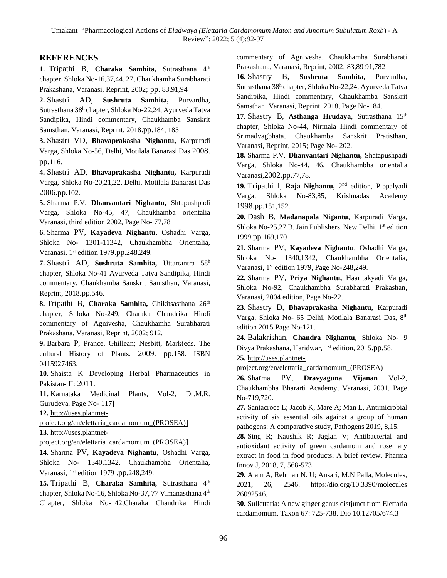# **REFERENCES**

**1.** Tripathi B, **Charaka Samhita,** Sutrasthana 4 th chapter, Shloka No-16,37,44, 27, Chaukhamha Surabharati Prakashana, Varanasi, Reprint, 2002; pp. 83,91,94

**2.** Shastri AD, **Sushruta Samhita,** Purvardha, Sutrasthana 38<sup>h</sup> chapter, Shloka No-22,24, Ayurveda Tatva Sandipika, Hindi commentary, Chaukhamba Sanskrit Samsthan, Varanasi, Reprint, 2018.pp.184, 185

**3.** Shastri VD, **Bhavaprakasha Nighantu,** Karpuradi Varga, Shloka No-56, Delhi, Motilala Banarasi Das 2008. pp.116.

**4.** Shastri AD, **Bhavaprakasha Nighantu,** Karpuradi Varga, Shloka No-20,21,22, Delhi, Motilala Banarasi Das 2006.pp.102.

**5.** Sharma P.V. **Dhanvantari Nighantu,** Shtapushpadi Varga, Shloka No-45, 47, Chaukhamba orientalia Varanasi, third edition 2002, Page No- 77,78

**6.** Sharma PV, **Kayadeva Nighantu**, Oshadhi Varga, Shloka No- 1301-11342, Chaukhambha Orientalia, Varanasi, 1st edition 1979.pp.248,249.

**7.** Shastri AD, **Sushruta Samhita,** Uttartantra 58<sup>h</sup> chapter, Shloka No-41 Ayurveda Tatva Sandipika, Hindi commentary, Chaukhamba Sanskrit Samsthan, Varanasi, Reprint, 2018.pp.546.

8. Tripathi B, Charaka Samhita, Chikitsasthana 26<sup>th</sup> chapter, Shloka No-249, Charaka Chandrika Hindi commentary of Agnivesha, Chaukhamha Surabharati Prakashana, Varanasi, Reprint, 2002; 912.

**9.** Barbara P, Prance, Ghillean; Nesbitt, Mark(eds. The cultural History of Plants. 2009. pp.158. ISBN 0415927463.

**10.** Shaista K Developing Herbal Pharmaceutics in Pakistan- II: 2011.

**11.** Karnataka Medicinal Plants, Vol-2, Dr.M.R. Gurudeva, Page No- 117]

**12.** [http://uses.plantnet-](http://uses.plantnet-project.org/en/elettaria_cardamomum_(PROSEA)%5d)

[project.org/en/elettaria\\_cardamomum\\_\(PROSEA\)\]](http://uses.plantnet-project.org/en/elettaria_cardamomum_(PROSEA)%5d)

**13.** http://uses.plantnet-

project.org/en/elettaria\_cardamomum\_(PROSEA)]

**14.** Sharma PV, **Kayadeva Nighantu**, Oshadhi Varga, Shloka No- 1340,1342, Chaukhambha Orientalia, Varanasi, 1st edition 1979 .pp.248,249.

15. Tripathi B, Charaka Samhita, Sutrasthana 4<sup>th</sup> chapter, Shloka No-16, Shloka No-37, 77 Vimanasthana 4<sup>th</sup> Chapter, Shloka No-142,Charaka Chandrika Hindi commentary of Agnivesha, Chaukhamha Surabharati Prakashana, Varanasi, Reprint, 2002; 83,89 91,782

**16.** Shastry B, **Sushruta Samhita,** Purvardha, Sutrasthana 38<sup>h</sup> chapter, Shloka No-22,24, Ayurveda Tatva Sandipika, Hindi commentary, Chaukhamba Sanskrit Samsthan, Varanasi, Reprint, 2018, Page No-184,

17. Shastry B, Asthanga Hrudaya, Sutrasthana 15<sup>th</sup> chapter, Shloka No-44, Nirmala Hindi commentary of Srimadvagbhata, Chaukhamba Sanskrit Pratisthan, Varanasi, Reprint, 2015; Page No- 202.

**18.** Sharma P.V. **Dhanvantari Nighantu,** Shatapushpadi Varga, Shloka No-44, 46, Chaukhambha orientalia Varanasi,2002.pp.77,78.

19. Tripathi I, Raja Nighantu, 2<sup>nd</sup> edition, Pippalyadi Varga, Shloka No-83,85, Krishnadas Academy 1998.pp.151,152.

**20.** Dash B, **Madanapala Nigantu**, Karpuradi Varga, Shloka No-25,27 B. Jain Publishers, New Delhi,  $1<sup>st</sup>$  edition 1999.pp.169,170

**21.** Sharma PV, **Kayadeva Nighantu**, Oshadhi Varga, Shloka No- 1340,1342, Chaukhambha Orientalia, Varanasi, 1<sup>st</sup> edition 1979, Page No-248,249.

**22.** Sharma PV, **Priya Nighantu,** Haaritakyadi Varga, Shloka No-92, Chaukhambha Surabharati Prakashan, Varanasi, 2004 edition, Page No-22.

**23.** Shastry D, **Bhavaprakasha Nighantu,** Karpuradi Varga, Shloka No- 65 Delhi, Motilala Banarasi Das, 8th edition 2015 Page No-121.

**24.** Balakrishan, **Chandra Nighantu,** Shloka No- 9 Divya Prakashana, Haridwar, 1<sup>st</sup> edition, 2015.pp.58.

**25.** [http://uses.plantnet-](http://uses.plantnet-project.org/en/elettaria_cardamomum_(PROSEA))

[project.org/en/elettaria\\_cardamomum\\_\(PROSEA\)](http://uses.plantnet-project.org/en/elettaria_cardamomum_(PROSEA))

**26.** Sharma PV, **Dravyaguna Vijanan** Vol-2, Chaukhambha Bhararti Academy, Varanasi, 2001, Page No-719,720.

**27.** Santacroce L; Jacob K, Mare A; Man L, Antimicrobial activity of six essential oils against a group of human pathogens: A comparative study, Pathogens 2019, 8,15.

**28.** Sing R; Kaushik R; Jaglan V; Antibacterial and antioxidant activity of green cardamom and rosemary extract in food in food products; A brief review. Pharma Innov J, 2018, 7, 568-573

**29.** Alam A, Rehman N. U; Ansari, M.N Palla, Molecules, 2021, 26, 2546. https:/dio.org/10.3390/molecules 26092546.

**30.** Sullettaria: A new ginger genus distjunct from Elettaria cardamomum, Taxon 67: 725-738. Dio 10.12705/674.3